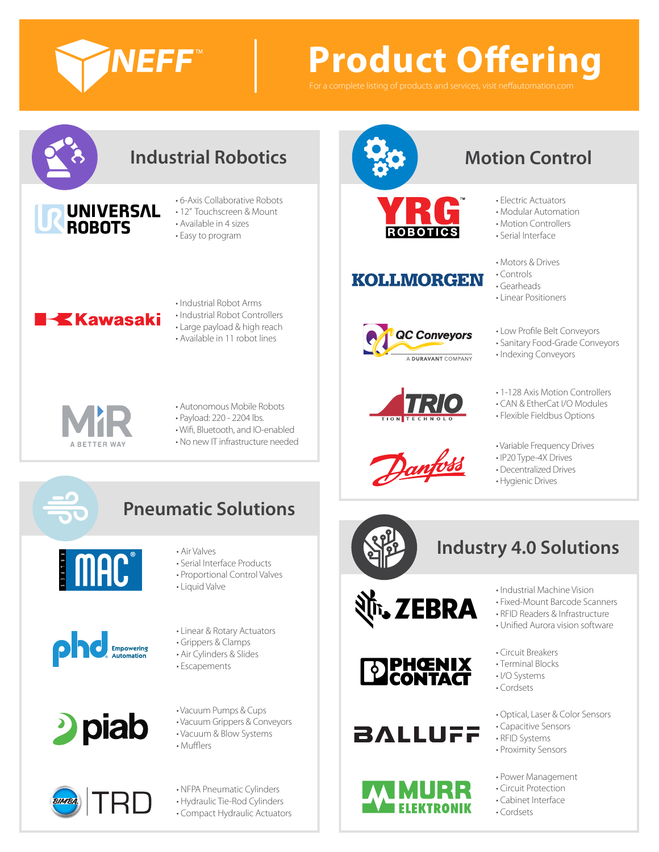

# **Product Offering**



• No new IT infrastructure needed



## **Motion Control**

**ROBOTICS** 

## **KOLLMORGEN**





- Electric Actuators • Modular Automation
- Motion Controllers
- Serial Interface
- Motors & Drives
- Controls
- Gearheads
- Linear Positioners
- Low Profile Belt Conveyors
- Sanitary Food-Grade Conveyors
- Indexing Conveyors
- 1-128 Axis Motion Controllers
- CAN & EtherCat I/O Modules
- Flexible Fieldbus Options
- Variable Frequency Drives
- IP20 Type-4X Drives
- Decentralized Drives
- 



## **Pneumatic Solutions**









- Serial Interface Products
- Proportional Control Valves
- Liquid Valve
- Linear & Rotary Actuators
- Grippers & Clamps
- Air Cylinders & Slides
- Escapements

• Vacuum Pumps & Cups

- 
- Vacuum & Blow Systems
- 

• NFPA Pneumatic Cylinders

• Hydraulic Tie-Rod Cylinders • Compact Hydraulic Actuators











## **BALLUFF**



- Industrial Machine Vision
- Fixed-Mount Barcode Scanners
- RFID Readers & Infrastructure
- Unified Aurora vision software
- Circuit Breakers
- Terminal Blocks
- I/O Systems
- Cordsets
- Optical, Laser & Color Sensors
- Capacitive Sensors
- RFID Systems
- Proximity Sensors
- Power Management
- Circuit Protection
- Cabinet Interface

• Cordsets



- 
- Vacuum Grippers & Conveyors
	-
- Mufflers